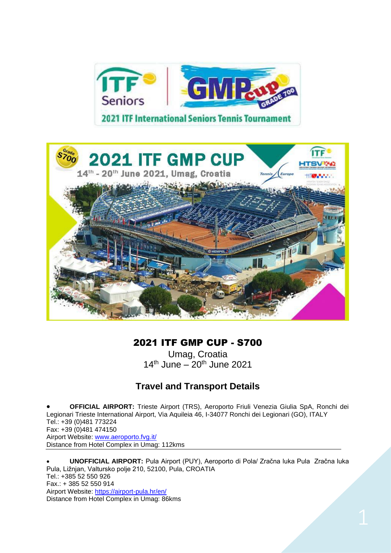



# 2021 ITF GMP CUP - S700

Umag, Croatia  $14^{th}$  June –  $20^{th}$  June 2021

# **Travel and Transport Details**

• **OFFICIAL AIRPORT:** Trieste Airport (TRS), Aeroporto Friuli Venezia Giulia SpA, Ronchi dei Legionari Trieste International Airport, Via Aquileia 46, I-34077 Ronchi dei Legionari (GO), ITALY Tel.: +39 (0)481 773224 Fax: +39 (0)481 474150 Airport Website: [www.aeroporto.fvg.it/](http://www.aeroporto.fvg.it/) Distance from Hotel Complex in Umag: 112kms

• **UNOFFICIAL AIRPORT:** Pula Airport (PUY), Aeroporto di Pola/ Zračna luka Pula Zračna luka Pula, Ližnjan, Valtursko polje 210, 52100, Pula, CROATIA Tel.: +385 52 550 926 Fax.: + 385 52 550 914 Airport Website:<https://airport-pula.hr/en/> Distance from Hotel Complex in Umag: 86kms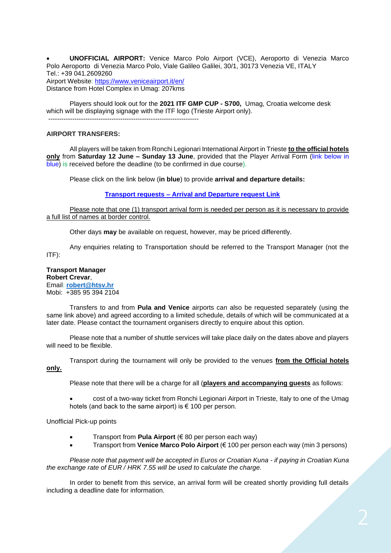• **UNOFFICIAL AIRPORT:** Venice Marco Polo Airport (VCE), Aeroporto di Venezia Marco Polo Aeroporto di Venezia Marco Polo, Viale Galileo Galilei, 30/1, 30173 Venezia VE, ITALY Tel.: +39 041.2609260 Airport Website:<https://www.veniceairport.it/en/> Distance from Hotel Complex in Umag: 207kms

Players should look out for the **2021 ITF GMP CUP - S700,** Umag, Croatia welcome desk which will be displaying signage with the ITF logo (Trieste Airport only). ---------------------------------------------------------------------

### **AIRPORT TRANSFERS:**

All players will be taken from Ronchi Legionari International Airport in Trieste **to the official hotels only** from **Saturday 12 June – Sunday 13 June**, provided that the Player Arrival Form (link below in blue) is received before the deadline (to be confirmed in due course).

Please click on the link below (**in blue**) to provide **arrival and departure details:**

#### **Transport requests – [Arrival and Departure request Link](https://forms.gle/DMS219NEpPqGxJTw9)**

Please note that one (1) transport arrival form is needed per person as it is necessary to provide a full list of names at border control.

Other days **may** be available on request, however, may be priced differently.

Any enquiries relating to Transportation should be referred to the Transport Manager (not the ITF):

#### **Transport Manager Robert Crevar**, Email: **[robert@htsv.hr](mailto:robert@htsv.hr)** Mobi: +385 95 394 2104

Transfers to and from **Pula and Venice** airports can also be requested separately (using the same link above) and agreed according to a limited schedule, details of which will be communicated at a later date. Please contact the tournament organisers directly to enquire about this option.

Please note that a number of shuttle services will take place daily on the dates above and players will need to be flexible.

Transport during the tournament will only be provided to the venues **from the Official hotels only.**

Please note that there will be a charge for all (**players and accompanying guests** as follows:

• cost of a two-way ticket from Ronchi Legionari Airport in Trieste, Italy to one of the Umag hotels (and back to the same airport) is € 100 per person.

Unofficial Pick-up points

- Transport from **Pula Airport** (€ 80 per person each way)
- Transport from **Venice Marco Polo Airport** (€ 100 per person each way (min 3 persons)

*Please note that payment will be accepted in Euros or Croatian Kuna - if paying in Croatian Kuna the exchange rate of EUR / HRK 7.55 will be used to calculate the charge.*

In order to benefit from this service, an arrival form will be created shortly providing full details including a deadline date for information.